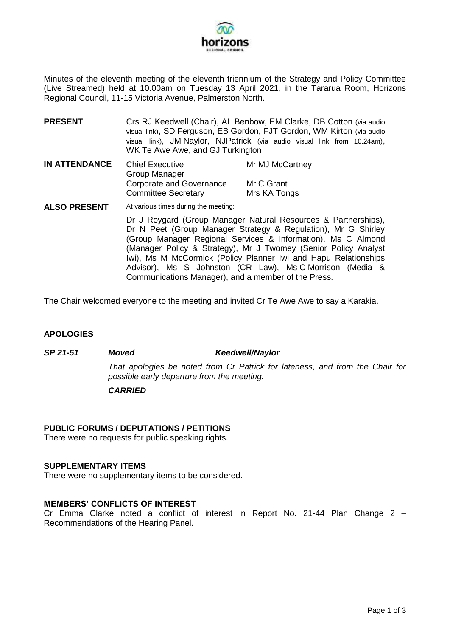

Minutes of the eleventh meeting of the eleventh triennium of the Strategy and Policy Committee (Live Streamed) held at 10.00am on Tuesday 13 April 2021, in the Tararua Room, Horizons Regional Council, 11-15 Victoria Avenue, Palmerston North.

- **PRESENT** Crs RJ Keedwell (Chair), AL Benbow, EM Clarke, DB Cotton (via audio visual link), SD Ferguson, EB Gordon, FJT Gordon, WM Kirton (via audio visual link), JM Naylor, NJPatrick (via audio visual link from 10.24am), WK Te Awe Awe, and GJ Turkington
- **IN ATTENDANCE** Chief Executive Group Manager Corporate and Governance Committee Secretary Mr MJ McCartney Mr C Grant Mrs KA Tongs
- **ALSO PRESENT** At various times during the meeting: Dr J Roygard (Group Manager Natural Resources & Partnerships), Dr N Peet (Group Manager Strategy & Regulation), Mr G Shirley (Group Manager Regional Services & Information), Ms C Almond (Manager Policy & Strategy), Mr J Twomey (Senior Policy Analyst Iwi), Ms M McCormick (Policy Planner Iwi and Hapu Relationships Advisor), Ms S Johnston (CR Law), Ms C Morrison (Media & Communications Manager), and a member of the Press.

The Chair welcomed everyone to the meeting and invited Cr Te Awe Awe to say a Karakia.

#### **APOLOGIES**

# *SP 21-51 Moved Keedwell/Naylor That apologies be noted from Cr Patrick for lateness, and from the Chair for possible early departure from the meeting. CARRIED*

## **PUBLIC FORUMS / DEPUTATIONS / PETITIONS**

There were no requests for public speaking rights.

#### **SUPPLEMENTARY ITEMS**

There were no supplementary items to be considered.

#### **MEMBERS' CONFLICTS OF INTEREST**

Cr Emma Clarke noted a conflict of interest in Report No. 21-44 Plan Change 2 – Recommendations of the Hearing Panel.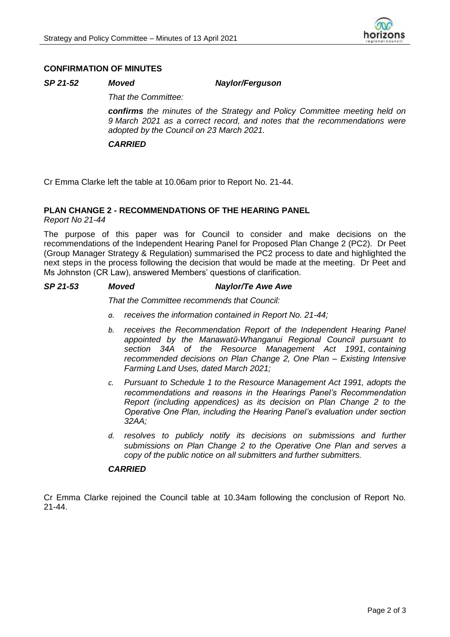

#### **CONFIRMATION OF MINUTES**

#### *SP 21-52 Moved Naylor/Ferguson*

*That the Committee:*

*confirms the minutes of the Strategy and Policy Committee meeting held on 9 March 2021 as a correct record, and notes that the recommendations were adopted by the Council on 23 March 2021.*

#### *CARRIED*

Cr Emma Clarke left the table at 10.06am prior to Report No. 21-44.

#### **PLAN CHANGE 2 - RECOMMENDATIONS OF THE HEARING PANEL**

*Report No 21-44*

The purpose of this paper was for Council to consider and make decisions on the recommendations of the Independent Hearing Panel for Proposed Plan Change 2 (PC2). Dr Peet (Group Manager Strategy & Regulation) summarised the PC2 process to date and highlighted the next steps in the process following the decision that would be made at the meeting. Dr Peet and Ms Johnston (CR Law), answered Members' questions of clarification.

#### *SP 21-53 Moved Naylor/Te Awe Awe*

*That the Committee recommends that Council:*

- *a. receives the information contained in Report No. 21-44;*
- *b. receives the Recommendation Report of the Independent Hearing Panel appointed by the Manawatū-Whanganui Regional Council pursuant to section 34A of the Resource Management Act 1991, containing recommended decisions on Plan Change 2, One Plan – Existing Intensive Farming Land Uses, dated March 2021;*
- *c. Pursuant to Schedule 1 to the Resource Management Act 1991, adopts the recommendations and reasons in the Hearings Panel's Recommendation Report (including appendices) as its decision on Plan Change 2 to the Operative One Plan, including the Hearing Panel's evaluation under section 32AA;*
- *d. resolves to publicly notify its decisions on submissions and further submissions on Plan Change 2 to the Operative One Plan and serves a copy of the public notice on all submitters and further submitters.*

#### *CARRIED*

Cr Emma Clarke rejoined the Council table at 10.34am following the conclusion of Report No. 21-44.